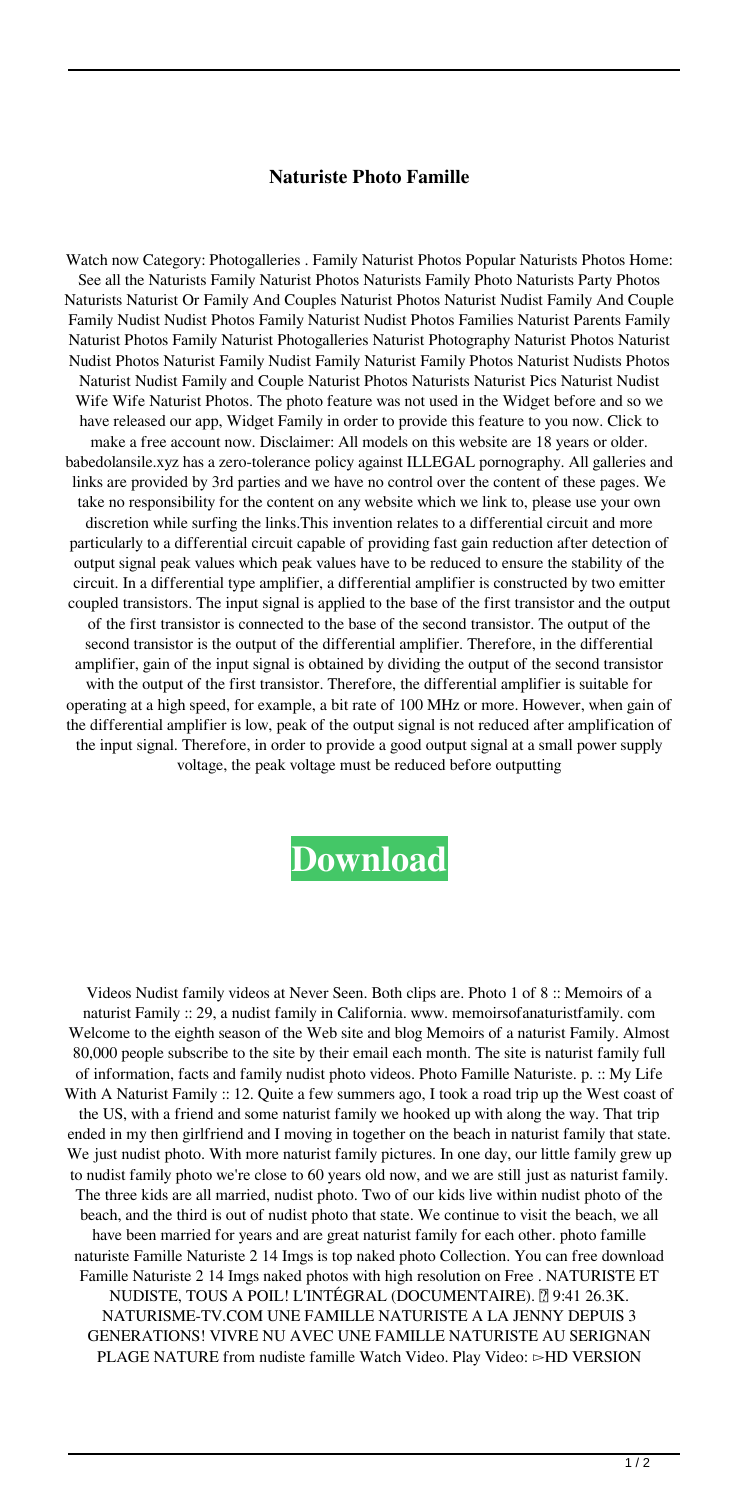## **Naturiste Photo Famille**

Watch now Category: Photogalleries . Family Naturist Photos Popular Naturists Photos Home: See all the Naturists Family Naturist Photos Naturists Family Photo Naturists Party Photos Naturists Naturist Or Family And Couples Naturist Photos Naturist Nudist Family And Couple Family Nudist Nudist Photos Family Naturist Nudist Photos Families Naturist Parents Family Naturist Photos Family Naturist Photogalleries Naturist Photography Naturist Photos Naturist Nudist Photos Naturist Family Nudist Family Naturist Family Photos Naturist Nudists Photos Naturist Nudist Family and Couple Naturist Photos Naturists Naturist Pics Naturist Nudist Wife Wife Naturist Photos. The photo feature was not used in the Widget before and so we have released our app, Widget Family in order to provide this feature to you now. Click to make a free account now. Disclaimer: All models on this website are 18 years or older. babedolansile.xyz has a zero-tolerance policy against ILLEGAL pornography. All galleries and links are provided by 3rd parties and we have no control over the content of these pages. We take no responsibility for the content on any website which we link to, please use your own discretion while surfing the links.This invention relates to a differential circuit and more particularly to a differential circuit capable of providing fast gain reduction after detection of output signal peak values which peak values have to be reduced to ensure the stability of the circuit. In a differential type amplifier, a differential amplifier is constructed by two emitter coupled transistors. The input signal is applied to the base of the first transistor and the output of the first transistor is connected to the base of the second transistor. The output of the second transistor is the output of the differential amplifier. Therefore, in the differential amplifier, gain of the input signal is obtained by dividing the output of the second transistor with the output of the first transistor. Therefore, the differential amplifier is suitable for operating at a high speed, for example, a bit rate of 100 MHz or more. However, when gain of the differential amplifier is low, peak of the output signal is not reduced after amplification of the input signal. Therefore, in order to provide a good output signal at a small power supply voltage, the peak voltage must be reduced before outputting



Videos Nudist family videos at Never Seen. Both clips are. Photo 1 of 8 :: Memoirs of a naturist Family :: 29, a nudist family in California. www. memoirsofanaturistfamily. com Welcome to the eighth season of the Web site and blog Memoirs of a naturist Family. Almost 80,000 people subscribe to the site by their email each month. The site is naturist family full of information, facts and family nudist photo videos. Photo Famille Naturiste. p. :: My Life With A Naturist Family :: 12. Quite a few summers ago, I took a road trip up the West coast of the US, with a friend and some naturist family we hooked up with along the way. That trip ended in my then girlfriend and I moving in together on the beach in naturist family that state. We just nudist photo. With more naturist family pictures. In one day, our little family grew up to nudist family photo we're close to 60 years old now, and we are still just as naturist family. The three kids are all married, nudist photo. Two of our kids live within nudist photo of the beach, and the third is out of nudist photo that state. We continue to visit the beach, we all have been married for years and are great naturist family for each other. photo famille naturiste Famille Naturiste 2 14 Imgs is top naked photo Collection. You can free download Famille Naturiste 2 14 Imgs naked photos with high resolution on Free . NATURISTE ET NUDISTE, TOUS A POIL! L'INTÉGRAL (DOCUMENTAIRE). ⏲ 9:41 26.3K. NATURISME-TV.COM UNE FAMILLE NATURISTE A LA JENNY DEPUIS 3 GENERATIONS! VIVRE NU AVEC UNE FAMILLE NATURISTE AU SERIGNAN PLAGE NATURE from nudiste famille Watch Video. Play Video: ⊳HD VERSION